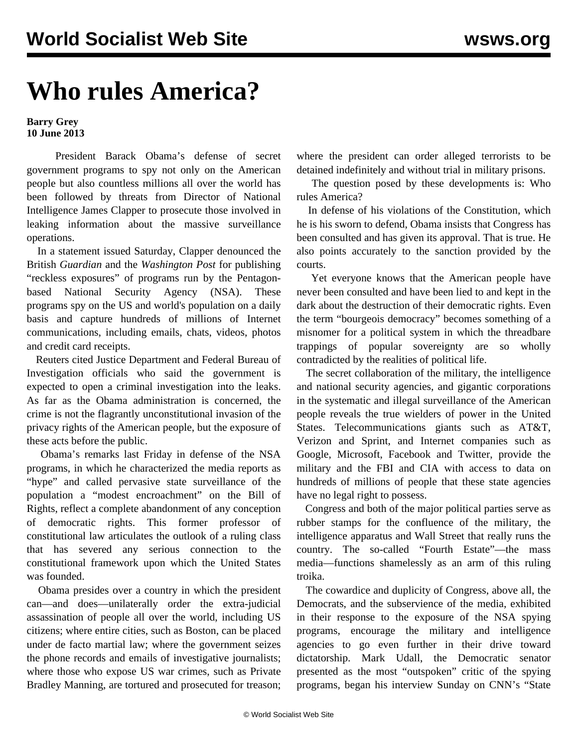## **Who rules America?**

**Barry Grey 10 June 2013**

 President Barack Obama's defense of secret government programs to spy not only on the American people but also countless millions all over the world has been followed by threats from Director of National Intelligence James Clapper to prosecute those involved in leaking information about the massive surveillance operations.

 In a statement issued Saturday, Clapper denounced the British *Guardian* and the *Washington Post* for publishing "reckless exposures" of programs run by the Pentagonbased National Security Agency (NSA). These programs spy on the US and world's population on a daily basis and capture hundreds of millions of Internet communications, including emails, chats, videos, photos and credit card receipts.

 Reuters cited Justice Department and Federal Bureau of Investigation officials who said the government is expected to open a criminal investigation into the leaks. As far as the Obama administration is concerned, the crime is not the flagrantly unconstitutional invasion of the privacy rights of the American people, but the exposure of these acts before the public.

 Obama's remarks last Friday in defense of the NSA programs, in which he characterized the media reports as "hype" and called pervasive state surveillance of the population a "modest encroachment" on the Bill of Rights, reflect a complete abandonment of any conception of democratic rights. This former professor of constitutional law articulates the outlook of a ruling class that has severed any serious connection to the constitutional framework upon which the United States was founded.

 Obama presides over a country in which the president can—and does—unilaterally order the extra-judicial assassination of people all over the world, including US citizens; where entire cities, such as Boston, can be placed under de facto martial law; where the government seizes the phone records and emails of investigative journalists; where those who expose US war crimes, such as Private Bradley Manning, are tortured and prosecuted for treason; where the president can order alleged terrorists to be detained indefinitely and without trial in military prisons.

 The question posed by these developments is: Who rules America?

 In defense of his violations of the Constitution, which he is his sworn to defend, Obama insists that Congress has been consulted and has given its approval. That is true. He also points accurately to the sanction provided by the courts.

 Yet everyone knows that the American people have never been consulted and have been lied to and kept in the dark about the destruction of their democratic rights. Even the term "bourgeois democracy" becomes something of a misnomer for a political system in which the threadbare trappings of popular sovereignty are so wholly contradicted by the realities of political life.

 The secret collaboration of the military, the intelligence and national security agencies, and gigantic corporations in the systematic and illegal surveillance of the American people reveals the true wielders of power in the United States. Telecommunications giants such as AT&T, Verizon and Sprint, and Internet companies such as Google, Microsoft, Facebook and Twitter, provide the military and the FBI and CIA with access to data on hundreds of millions of people that these state agencies have no legal right to possess.

 Congress and both of the major political parties serve as rubber stamps for the confluence of the military, the intelligence apparatus and Wall Street that really runs the country. The so-called "Fourth Estate"—the mass media—functions shamelessly as an arm of this ruling troika.

 The cowardice and duplicity of Congress, above all, the Democrats, and the subservience of the media, exhibited in their response to the exposure of the NSA spying programs, encourage the military and intelligence agencies to go even further in their drive toward dictatorship. Mark Udall, the Democratic senator presented as the most "outspoken" critic of the spying programs, began his interview Sunday on CNN's "State